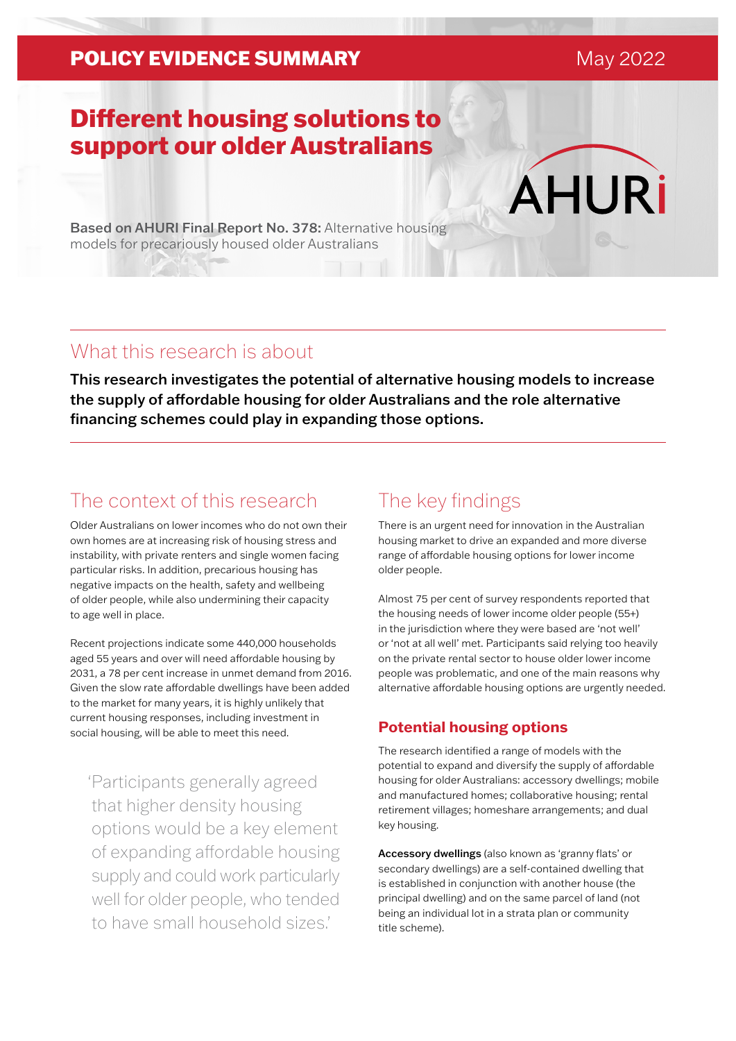### **POLICY EVIDENCE SUMMARY** May 2022

**AHURi** 

# Different housing solutions to support our older Australians

Based on AHURI Final Report No. 378: Alternative housing models for precariously housed older Australians

### What this research is about

This research investigates the potential of alternative housing models to increase the supply of affordable housing for older Australians and the role alternative financing schemes could play in expanding those options.

## The context of this research

Older Australians on lower incomes who do not own their own homes are at increasing risk of housing stress and instability, with private renters and single women facing particular risks. In addition, precarious housing has negative impacts on the health, safety and wellbeing of older people, while also undermining their capacity to age well in place.

Recent projections indicate some 440,000 households aged 55 years and over will need affordable housing by 2031, a 78 per cent increase in unmet demand from 2016. Given the slow rate affordable dwellings have been added to the market for many years, it is highly unlikely that current housing responses, including investment in social housing, will be able to meet this need.

'Participants generally agreed that higher density housing options would be a key element of expanding affordable housing supply and could work particularly well for older people, who tended to have small household sizes.'

## The key findings

There is an urgent need for innovation in the Australian housing market to drive an expanded and more diverse range of affordable housing options for lower income older people.

Almost 75 per cent of survey respondents reported that the housing needs of lower income older people (55+) in the jurisdiction where they were based are 'not well' or 'not at all well' met. Participants said relying too heavily on the private rental sector to house older lower income people was problematic, and one of the main reasons why alternative affordable housing options are urgently needed.

### **Potential housing options**

The research identified a range of models with the potential to expand and diversify the supply of affordable housing for older Australians: accessory dwellings; mobile and manufactured homes; collaborative housing; rental retirement villages; homeshare arrangements; and dual key housing.

Accessory dwellings (also known as 'granny flats' or secondary dwellings) are a self-contained dwelling that is established in conjunction with another house (the principal dwelling) and on the same parcel of land (not being an individual lot in a strata plan or community title scheme).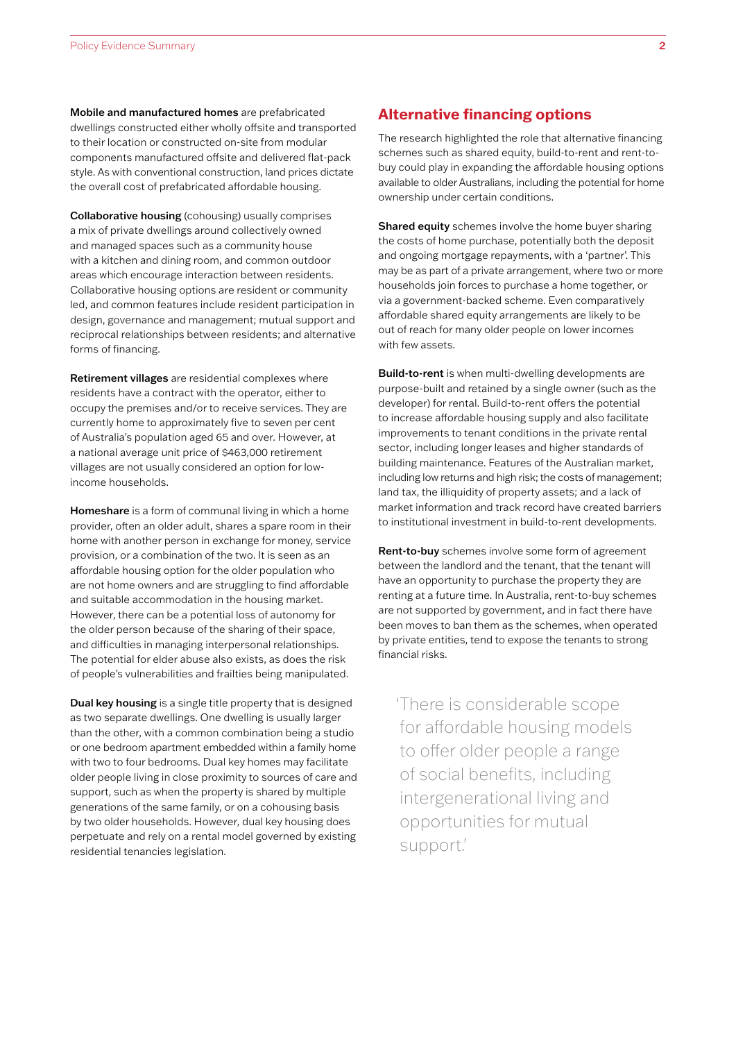Mobile and manufactured homes are prefabricated dwellings constructed either wholly offsite and transported to their location or constructed on-site from modular components manufactured offsite and delivered flat-pack style. As with conventional construction, land prices dictate the overall cost of prefabricated affordable housing.

Collaborative housing (cohousing) usually comprises a mix of private dwellings around collectively owned and managed spaces such as a community house with a kitchen and dining room, and common outdoor areas which encourage interaction between residents. Collaborative housing options are resident or community led, and common features include resident participation in design, governance and management; mutual support and reciprocal relationships between residents; and alternative forms of financing.

Retirement villages are residential complexes where residents have a contract with the operator, either to occupy the premises and/or to receive services. They are currently home to approximately five to seven per cent of Australia's population aged 65 and over. However, at a national average unit price of \$463,000 retirement villages are not usually considered an option for lowincome households.

Homeshare is a form of communal living in which a home provider, often an older adult, shares a spare room in their home with another person in exchange for money, service provision, or a combination of the two. It is seen as an affordable housing option for the older population who are not home owners and are struggling to find affordable and suitable accommodation in the housing market. However, there can be a potential loss of autonomy for the older person because of the sharing of their space, and difficulties in managing interpersonal relationships. The potential for elder abuse also exists, as does the risk of people's vulnerabilities and frailties being manipulated.

Dual key housing is a single title property that is designed as two separate dwellings. One dwelling is usually larger than the other, with a common combination being a studio or one bedroom apartment embedded within a family home with two to four bedrooms. Dual key homes may facilitate older people living in close proximity to sources of care and support, such as when the property is shared by multiple generations of the same family, or on a cohousing basis by two older households. However, dual key housing does perpetuate and rely on a rental model governed by existing residential tenancies legislation.

#### **Alternative financing options**

The research highlighted the role that alternative financing schemes such as shared equity, build-to-rent and rent-tobuy could play in expanding the affordable housing options available to older Australians, including the potential for home ownership under certain conditions.

Shared equity schemes involve the home buyer sharing the costs of home purchase, potentially both the deposit and ongoing mortgage repayments, with a 'partner'. This may be as part of a private arrangement, where two or more households join forces to purchase a home together, or via a government-backed scheme. Even comparatively affordable shared equity arrangements are likely to be out of reach for many older people on lower incomes with few assets.

Build-to-rent is when multi-dwelling developments are purpose-built and retained by a single owner (such as the developer) for rental. Build-to-rent offers the potential to increase affordable housing supply and also facilitate improvements to tenant conditions in the private rental sector, including longer leases and higher standards of building maintenance. Features of the Australian market, including low returns and high risk; the costs of management; land tax, the illiquidity of property assets; and a lack of market information and track record have created barriers to institutional investment in build-to-rent developments.

Rent-to-buy schemes involve some form of agreement between the landlord and the tenant, that the tenant will have an opportunity to purchase the property they are renting at a future time. In Australia, rent-to-buy schemes are not supported by government, and in fact there have been moves to ban them as the schemes, when operated by private entities, tend to expose the tenants to strong financial risks.

'There is considerable scope for affordable housing models to offer older people a range of social benefits, including intergenerational living and opportunities for mutual support.'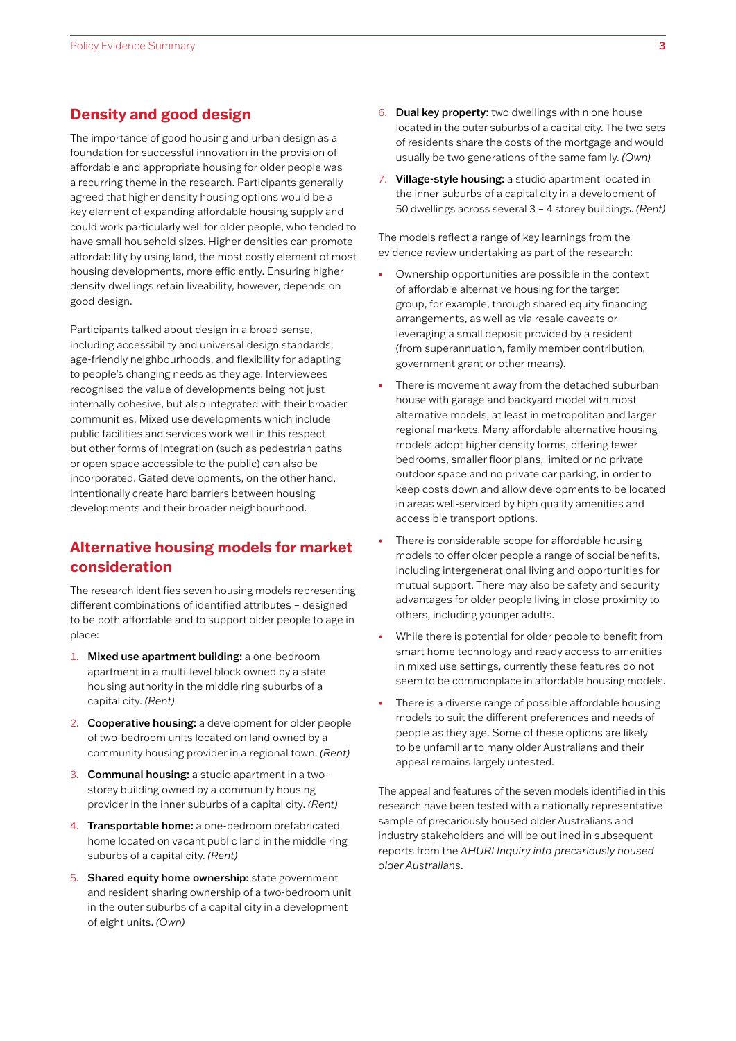#### **Density and good design**

The importance of good housing and urban design as a foundation for successful innovation in the provision of affordable and appropriate housing for older people was a recurring theme in the research. Participants generally agreed that higher density housing options would be a key element of expanding affordable housing supply and could work particularly well for older people, who tended to have small household sizes. Higher densities can promote affordability by using land, the most costly element of most housing developments, more efficiently. Ensuring higher density dwellings retain liveability, however, depends on good design.

Participants talked about design in a broad sense, including accessibility and universal design standards, age-friendly neighbourhoods, and flexibility for adapting to people's changing needs as they age. Interviewees recognised the value of developments being not just internally cohesive, but also integrated with their broader communities. Mixed use developments which include public facilities and services work well in this respect but other forms of integration (such as pedestrian paths or open space accessible to the public) can also be incorporated. Gated developments, on the other hand, intentionally create hard barriers between housing developments and their broader neighbourhood.

### **Alternative housing models for market consideration**

The research identifies seven housing models representing different combinations of identified attributes – designed to be both affordable and to support older people to age in place:

- 1. Mixed use apartment building: a one-bedroom apartment in a multi-level block owned by a state housing authority in the middle ring suburbs of a capital city. *(Rent)*
- 2. Cooperative housing: a development for older people of two-bedroom units located on land owned by a community housing provider in a regional town. *(Rent)*
- 3. Communal housing: a studio apartment in a twostorey building owned by a community housing provider in the inner suburbs of a capital city. *(Rent)*
- 4. Transportable home: a one-bedroom prefabricated home located on vacant public land in the middle ring suburbs of a capital city. *(Rent)*
- 5. Shared equity home ownership: state government and resident sharing ownership of a two-bedroom unit in the outer suburbs of a capital city in a development of eight units. *(Own)*
- 6. Dual key property: two dwellings within one house located in the outer suburbs of a capital city. The two sets of residents share the costs of the mortgage and would usually be two generations of the same family. *(Own)*
- 7. Village-style housing: a studio apartment located in the inner suburbs of a capital city in a development of 50 dwellings across several 3 – 4 storey buildings. *(Rent)*

The models reflect a range of key learnings from the evidence review undertaking as part of the research:

- Ownership opportunities are possible in the context of affordable alternative housing for the target group, for example, through shared equity financing arrangements, as well as via resale caveats or leveraging a small deposit provided by a resident (from superannuation, family member contribution, government grant or other means).
- There is movement away from the detached suburban house with garage and backyard model with most alternative models, at least in metropolitan and larger regional markets. Many affordable alternative housing models adopt higher density forms, offering fewer bedrooms, smaller floor plans, limited or no private outdoor space and no private car parking, in order to keep costs down and allow developments to be located in areas well-serviced by high quality amenities and accessible transport options.
- There is considerable scope for affordable housing models to offer older people a range of social benefits, including intergenerational living and opportunities for mutual support. There may also be safety and security advantages for older people living in close proximity to others, including younger adults.
- While there is potential for older people to benefit from smart home technology and ready access to amenities in mixed use settings, currently these features do not seem to be commonplace in affordable housing models.
- There is a diverse range of possible affordable housing models to suit the different preferences and needs of people as they age. Some of these options are likely to be unfamiliar to many older Australians and their appeal remains largely untested.

The appeal and features of the seven models identified in this research have been tested with a nationally representative sample of precariously housed older Australians and industry stakeholders and will be outlined in subsequent reports from the *AHURI Inquiry into precariously housed older Australians*.